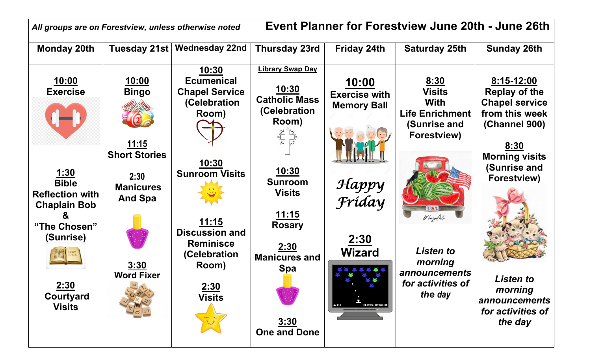